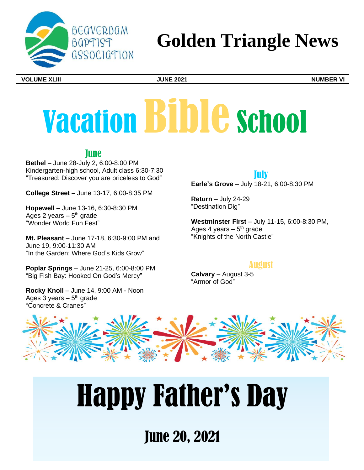

## **Golden Triangle News**

**VOLUME XLIII JUNE 2021 NUMBER VI**

# Vacation Bible School

**Tune** 

**Bethel** – June 28-July 2, 6:00-8:00 PM Kindergarten-high school, Adult class 6:30-7:30 "Treasured: Discover you are priceless to God"

**College Street** – June 13-17, 6:00-8:35 PM

**Hopewell** – June 13-16, 6:30-8:30 PM Ages 2 years – 5<sup>th</sup> grade "Wonder World Fun Fest"

**Mt. Pleasant** – June 17-18, 6:30-9:00 PM and June 19, 9:00-11:30 AM "In the Garden: Where God's Kids Grow"

**Poplar Springs** – June 21-25, 6:00-8:00 PM "Big Fish Bay: Hooked On God's Mercy"

**Rocky Knoll** – June 14, 9:00 AM - Noon Ages 3 years  $-5<sup>th</sup>$  grade "Concrete & Cranes"

## July

**Earle's Grove** – July 18-21, 6:00-8:30 PM

**Return** – July 24-29 "Destination Dig"

**Westminster First** – July 11-15, 6:00-8:30 PM, Ages 4 years - 5<sup>th</sup> grade "Knights of the North Castle"

## August

**Calvary** – August 3-5 "Armor of God"



## Happy Father's Day

June 20, 2021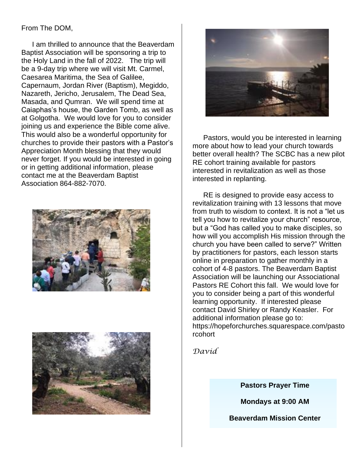#### From The DOM,

I am thrilled to announce that the Beaverdam Baptist Association will be sponsoring a trip to the Holy Land in the fall of 2022. The trip will be a 9-day trip where we will visit Mt. Carmel, Caesarea Maritima, the Sea of Galilee, Capernaum, Jordan River (Baptism), Megiddo, Nazareth, Jericho, Jerusalem, The Dead Sea, Masada, and Qumran. We will spend time at Caiaphas's house, the Garden Tomb, as well as at Golgotha. We would love for you to consider joining us and experience the Bible come alive. This would also be a wonderful opportunity for churches to provide their pastors with a Pastor's Appreciation Month blessing that they would never forget. If you would be interested in going or in getting additional information, please contact me at the Beaverdam Baptist Association 864-882-7070.







Pastors, would you be interested in learning more about how to lead your church towards better overall health? The SCBC has a new pilot RE cohort training available for pastors interested in revitalization as well as those interested in replanting.

RE is designed to provide easy access to revitalization training with 13 lessons that move from truth to wisdom to context. It is not a "let us tell you how to revitalize your church" resource, but a "God has called you to make disciples, so how will you accomplish His mission through the church you have been called to serve?" Written by practitioners for pastors, each lesson starts online in preparation to gather monthly in a cohort of 4-8 pastors. The Beaverdam Baptist Association will be launching our Associational Pastors RE Cohort this fall. We would love for you to consider being a part of this wonderful learning opportunity. If interested please contact David Shirley or Randy Keasler. For additional information please go to: https://hopeforchurches.squarespace.com/pasto rcohort

*David*

**Pastors Prayer Time** 

**Mondays at 9:00 AM**

**Beaverdam Mission Center**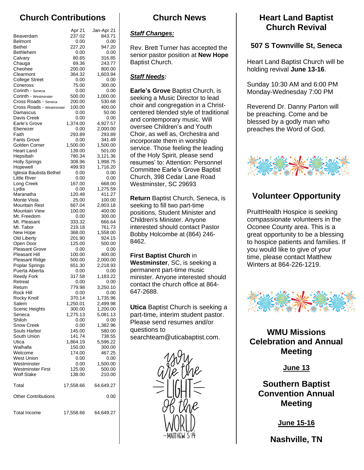## **Church Contributions**

|                                                                                                                                                              | Apr 21                                                                                         | Jan-Apr 21                                                                                                                |
|--------------------------------------------------------------------------------------------------------------------------------------------------------------|------------------------------------------------------------------------------------------------|---------------------------------------------------------------------------------------------------------------------------|
| Beaverdam                                                                                                                                                    | 237.02                                                                                         | 843.71                                                                                                                    |
| <b>Belmont</b>                                                                                                                                               | 0.00                                                                                           | 0.00                                                                                                                      |
| <b>Bethel</b>                                                                                                                                                | 227.20                                                                                         | 947.20                                                                                                                    |
| Bethlehem                                                                                                                                                    | 0.00                                                                                           | 0.00                                                                                                                      |
| Calvary                                                                                                                                                      | 80.65                                                                                          | 316.85                                                                                                                    |
| Chauga                                                                                                                                                       | 69.36                                                                                          | 243.77                                                                                                                    |
| Cheohee                                                                                                                                                      | 200.00                                                                                         | 800.00                                                                                                                    |
| Clearmont                                                                                                                                                    | 364.32                                                                                         | 1,603.94                                                                                                                  |
| <b>College Street</b><br>Coneross                                                                                                                            | 0.00<br>75.00                                                                                  | 0.00<br>300.00                                                                                                            |
| Corinth - Seneca                                                                                                                                             | 0.00                                                                                           | 0.00                                                                                                                      |
| Corinth - Westminster                                                                                                                                        | 500.00                                                                                         | 1,000.00                                                                                                                  |
| Cross Roads - Seneca                                                                                                                                         | 200.00                                                                                         | 530.68                                                                                                                    |
| Cross Roads - Westminster                                                                                                                                    | 100.00                                                                                         | 400.00                                                                                                                    |
| Damascus                                                                                                                                                     | 0.00                                                                                           | 50.00                                                                                                                     |
| Davis Creek                                                                                                                                                  | 0.00                                                                                           | 0.00                                                                                                                      |
| Earle's Grove                                                                                                                                                | 1,374.00                                                                                       | 4,927.57                                                                                                                  |
| Ebenezer                                                                                                                                                     | 0.00                                                                                           | 2,000.00                                                                                                                  |
| Faith                                                                                                                                                        | 293.89                                                                                         | 293.89                                                                                                                    |
| <b>Fants Grove</b>                                                                                                                                           | 0.00                                                                                           | 341.49                                                                                                                    |
| Golden Corner                                                                                                                                                | 1,500.00                                                                                       | 1,500.00                                                                                                                  |
| Heart Land                                                                                                                                                   | 139.00                                                                                         | 501.00                                                                                                                    |
| Hepsibah                                                                                                                                                     | 780.34                                                                                         | 3,121.36                                                                                                                  |
| <b>Holly Springs</b>                                                                                                                                         | 308.96                                                                                         | 1,998.75                                                                                                                  |
| Hopewell                                                                                                                                                     | 499.93                                                                                         | 1,716.20                                                                                                                  |
| Iglesia Bautista Bethel                                                                                                                                      | 0.00                                                                                           | 0.00                                                                                                                      |
| Little River                                                                                                                                                 | 0.00                                                                                           | 0.00                                                                                                                      |
| Long Creek<br>Lydia                                                                                                                                          | 167.00<br>0.00                                                                                 | 668.00<br>1,275.59                                                                                                        |
| Maranatha                                                                                                                                                    | 120.48                                                                                         | 411.27                                                                                                                    |
| Monte Vista                                                                                                                                                  | 25.00                                                                                          | 100.00                                                                                                                    |
| Mountain Rest                                                                                                                                                | 667.04                                                                                         | 2,803.18                                                                                                                  |
| <b>Mountain View</b>                                                                                                                                         | 100.00                                                                                         | 400.00                                                                                                                    |
| Mt. Freedom                                                                                                                                                  | 0.00                                                                                           | 300.00                                                                                                                    |
| Mt. Pleasant                                                                                                                                                 | 333.32                                                                                         | 666.64                                                                                                                    |
| Mt. Tabor                                                                                                                                                    | 219.18                                                                                         | 761.73                                                                                                                    |
| New Hope                                                                                                                                                     | 368.00                                                                                         | 1,558.00                                                                                                                  |
| Old Liberty                                                                                                                                                  | 201.90                                                                                         | 924.15                                                                                                                    |
| Open Door                                                                                                                                                    | 125.00                                                                                         | 500.00                                                                                                                    |
| <b>Pleasant Grove</b>                                                                                                                                        | 0.00                                                                                           | 0.00                                                                                                                      |
| Pleasant Hill                                                                                                                                                | 100.00                                                                                         | 400.00                                                                                                                    |
| <b>Pleasant Ridge</b>                                                                                                                                        | 500.00                                                                                         | 2,000.00                                                                                                                  |
| Poplar Springs                                                                                                                                               | 651.30                                                                                         | 2,218.93                                                                                                                  |
| Puerta Abierta                                                                                                                                               | 0.00                                                                                           | 0.00                                                                                                                      |
| <b>Reedy Fork</b>                                                                                                                                            | 317.58                                                                                         | 1,183.22                                                                                                                  |
| Retreat                                                                                                                                                      | 0.00                                                                                           | 0.00                                                                                                                      |
| Return                                                                                                                                                       | 779.98                                                                                         | 3,250.10                                                                                                                  |
|                                                                                                                                                              |                                                                                                |                                                                                                                           |
|                                                                                                                                                              |                                                                                                |                                                                                                                           |
|                                                                                                                                                              |                                                                                                |                                                                                                                           |
|                                                                                                                                                              |                                                                                                |                                                                                                                           |
|                                                                                                                                                              |                                                                                                |                                                                                                                           |
|                                                                                                                                                              |                                                                                                |                                                                                                                           |
| Souls Harbor                                                                                                                                                 |                                                                                                |                                                                                                                           |
| South Union                                                                                                                                                  | 141.74                                                                                         | 738.55                                                                                                                    |
| Utica                                                                                                                                                        | 1,864.19                                                                                       | 5,596.22                                                                                                                  |
| Walhalla                                                                                                                                                     | 150.00                                                                                         | 300.00                                                                                                                    |
| Welcome                                                                                                                                                      | 174.00                                                                                         | 467.25                                                                                                                    |
| West Union                                                                                                                                                   | 0.00                                                                                           | 0.00                                                                                                                      |
|                                                                                                                                                              | 0.00                                                                                           |                                                                                                                           |
|                                                                                                                                                              |                                                                                                |                                                                                                                           |
|                                                                                                                                                              |                                                                                                |                                                                                                                           |
| Total                                                                                                                                                        | 17,558.66                                                                                      | 64,649.27                                                                                                                 |
| <b>Other Contributions</b>                                                                                                                                   |                                                                                                | 0.00                                                                                                                      |
| <b>Total Income</b>                                                                                                                                          | 17,558.66                                                                                      | 64,649.27                                                                                                                 |
| Rock Hill<br>Rocky Knoll<br>Salem<br>Scenic Heights<br>Seneca<br>Shiloh<br><b>Snow Creek</b><br>Westminster<br><b>Westminster First</b><br><b>Wolf Stake</b> | 0.00<br>370.14<br>1,250.01<br>300.00<br>1,275.13<br>0.00<br>0.00<br>145.00<br>125.00<br>138.00 | <b>0.00</b><br>1,735.96<br>2,499.98<br>1,200.00<br>5,081.13<br>0.00<br>1,382.96<br>580.00<br>1,500.00<br>500.00<br>210.00 |

## **Church News**

#### *Staff Changes:*

Rev. Brett Turner has accepted the senior pastor position at **New Hope** Baptist Church.

#### *Staff Needs:*

**Earle's Grove** Baptist Church, is seeking a Music Director to lead choir and congregation in a Christcentered blended style of traditional and contemporary music. Will oversee Children's and Youth Choir, as well as, Orchestra and incorporate them in worship service. Those feeling the leading of the Holy Spirit, please send resumes' to: Attention: Personnel Committee Earle's Grove Baptist Church, 398 Cedar Lane Road Westminster, SC 29693

**Return** Baptist Church, Seneca, is seeking to fill two part-time positions, Student Minister and Children's Minister. Anyone interested should contact Pastor Bobby Holcombe at (864) 246- 8462.

**First Baptist Church** in **Westminster**, SC, is seeking a permanent part-time music minister. Anyone interested should contact the church office at 864- 647-2688.

**Utica** Baptist Church is seeking a part-time, interim student pastor. Please send resumes and/or questions to searchteam@uticabaptist.com.



## **Heart Land Baptist Church Revival**

## **507 S Townville St, Seneca**

Heart Land Baptist Church will be holding revival **June 13-16**.

Sunday 10:30 AM and 6:00 PM Monday-Wednesday 7:00 PM

Reverend Dr. Danny Parton will be preaching. Come and be blessed by a godly man who preaches the Word of God.



## **Volunteer Opportunity**

PruittHealth Hospice is seeking compassionate volunteers in the Oconee County area. This is a great opportunity to be a blessing to hospice patients and families. If you would like to give of your time, please contact Matthew Winters at 864-226-1219.



**WMU Missions Celebration and Annual Meeting** 

**June 13**

**Southern Baptist Convention Annual Meeting** 

**June 15-16** 

**Nashville, TN**